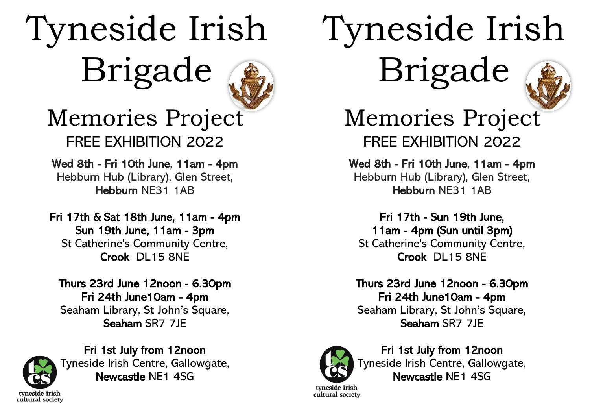## Tyneside Irish Brigade



### Memories Project FREE EXHIBITION 2022

#### Wed 8th - Fri 10th June, 11am - 4pm Hebburn Hub (Library), Glen Street, Hebburn NE31 1AB

Fri 17th & Sat 18th June, 11am - 4pm Sun 19th June, 11am - 3pm St Catherine's Community Centre, Crook DL15 8NE

Thurs 23rd June 12noon - 6.30pm Fri 24th June10am - 4pm Seaham Library, St John's Square, Seaham SR7 7JE



Fri 1st July from 12noon Tyneside Irish Centre, Gallowgate, Newcastle NE1 4SG

# Tyneside Irish Brigade



Memories Project FREE EXHIBITION 2022

Wed 8th - Fri 10th June, 11am - 4pm Hebburn Hub (Library), Glen Street, Hebburn NE31 1AB

Fri 17th - Sun 19th June, 11am - 4pm (Sun until 3pm) St Catherine's Community Centre, Crook DL15 8NE

Thurs 23rd June 12noon - 6.30pm Fri 24th June10am - 4pm Seaham Library, St John's Square, Seaham SR7 7JE



Fri 1st July from 12noon Tyneside Irish Centre, Gallowgate, Newcastle NE1 4SG

tyneside irish cultural society